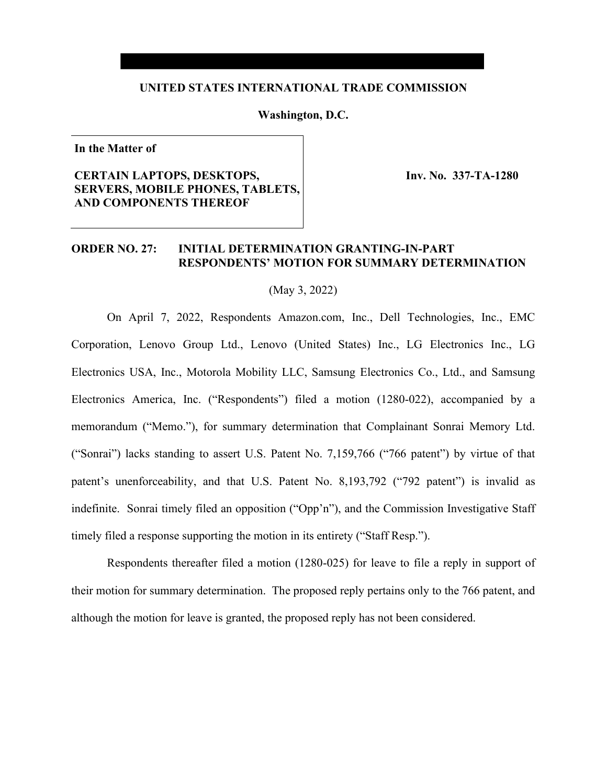### **UNITED STATES INTERNATIONAL TRADE COMMISSION**

#### **Washington, D.C.**

**In the Matter of**

## **CERTAIN LAPTOPS, DESKTOPS, SERVERS, MOBILE PHONES, TABLETS, AND COMPONENTS THEREOF**

 **Inv. No. 337-TA-1280**

## **ORDER NO. 27: INITIAL DETERMINATION GRANTING-IN-PART RESPONDENTS' MOTION FOR SUMMARY DETERMINATION**

(May 3, 2022)

On April 7, 2022, Respondents Amazon.com, Inc., Dell Technologies, Inc., EMC Corporation, Lenovo Group Ltd., Lenovo (United States) Inc., LG Electronics Inc., LG Electronics USA, Inc., Motorola Mobility LLC, Samsung Electronics Co., Ltd., and Samsung Electronics America, Inc. ("Respondents") filed a motion (1280-022), accompanied by a memorandum ("Memo."), for summary determination that Complainant Sonrai Memory Ltd. ("Sonrai") lacks standing to assert U.S. Patent No. 7,159,766 ("766 patent") by virtue of that patent's unenforceability, and that U.S. Patent No. 8,193,792 ("792 patent") is invalid as indefinite. Sonrai timely filed an opposition ("Opp'n"), and the Commission Investigative Staff timely filed a response supporting the motion in its entirety ("Staff Resp.").

Respondents thereafter filed a motion (1280-025) for leave to file a reply in support of their motion for summary determination. The proposed reply pertains only to the 766 patent, and although the motion for leave is granted, the proposed reply has not been considered.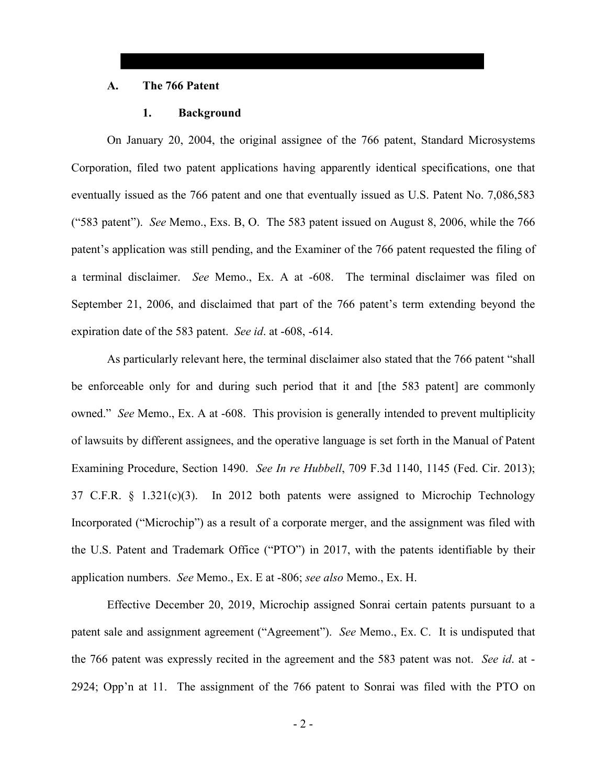#### **A. The 766 Patent**

#### **1. Background**

On January 20, 2004, the original assignee of the 766 patent, Standard Microsystems Corporation, filed two patent applications having apparently identical specifications, one that eventually issued as the 766 patent and one that eventually issued as U.S. Patent No. 7,086,583 ("583 patent"). *See* Memo., Exs. B, O. The 583 patent issued on August 8, 2006, while the 766 patent's application was still pending, and the Examiner of the 766 patent requested the filing of a terminal disclaimer. *See* Memo., Ex. A at -608. The terminal disclaimer was filed on September 21, 2006, and disclaimed that part of the 766 patent's term extending beyond the expiration date of the 583 patent. *See id*. at -608, -614.

As particularly relevant here, the terminal disclaimer also stated that the 766 patent "shall be enforceable only for and during such period that it and [the 583 patent] are commonly owned." *See* Memo., Ex. A at -608. This provision is generally intended to prevent multiplicity of lawsuits by different assignees, and the operative language is set forth in the Manual of Patent Examining Procedure, Section 1490. *See In re Hubbell*, 709 F.3d 1140, 1145 (Fed. Cir. 2013); 37 C.F.R. § 1.321(c)(3). In 2012 both patents were assigned to Microchip Technology Incorporated ("Microchip") as a result of a corporate merger, and the assignment was filed with the U.S. Patent and Trademark Office ("PTO") in 2017, with the patents identifiable by their application numbers. *See* Memo., Ex. E at -806; *see also* Memo., Ex. H.

Effective December 20, 2019, Microchip assigned Sonrai certain patents pursuant to a patent sale and assignment agreement ("Agreement"). *See* Memo., Ex. C. It is undisputed that the 766 patent was expressly recited in the agreement and the 583 patent was not. *See id*. at - 2924; Opp'n at 11. The assignment of the 766 patent to Sonrai was filed with the PTO on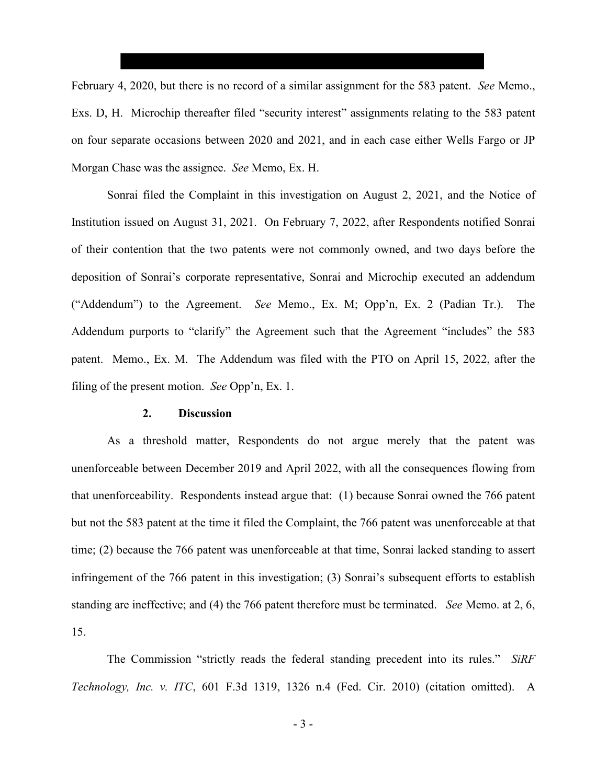February 4, 2020, but there is no record of a similar assignment for the 583 patent. *See* Memo., Exs. D, H. Microchip thereafter filed "security interest" assignments relating to the 583 patent on four separate occasions between 2020 and 2021, and in each case either Wells Fargo or JP Morgan Chase was the assignee. *See* Memo, Ex. H.

Sonrai filed the Complaint in this investigation on August 2, 2021, and the Notice of Institution issued on August 31, 2021. On February 7, 2022, after Respondents notified Sonrai of their contention that the two patents were not commonly owned, and two days before the deposition of Sonrai's corporate representative, Sonrai and Microchip executed an addendum ("Addendum") to the Agreement. *See* Memo., Ex. M; Opp'n, Ex. 2 (Padian Tr.). The Addendum purports to "clarify" the Agreement such that the Agreement "includes" the 583 patent. Memo., Ex. M. The Addendum was filed with the PTO on April 15, 2022, after the filing of the present motion. *See* Opp'n, Ex. 1.

#### **2. Discussion**

As a threshold matter, Respondents do not argue merely that the patent was unenforceable between December 2019 and April 2022, with all the consequences flowing from that unenforceability. Respondents instead argue that: (1) because Sonrai owned the 766 patent but not the 583 patent at the time it filed the Complaint, the 766 patent was unenforceable at that time; (2) because the 766 patent was unenforceable at that time, Sonrai lacked standing to assert infringement of the 766 patent in this investigation; (3) Sonrai's subsequent efforts to establish standing are ineffective; and (4) the 766 patent therefore must be terminated. *See* Memo. at 2, 6, 15.

The Commission "strictly reads the federal standing precedent into its rules." *SiRF Technology, Inc. v. ITC*, 601 F.3d 1319, 1326 n.4 (Fed. Cir. 2010) (citation omitted). A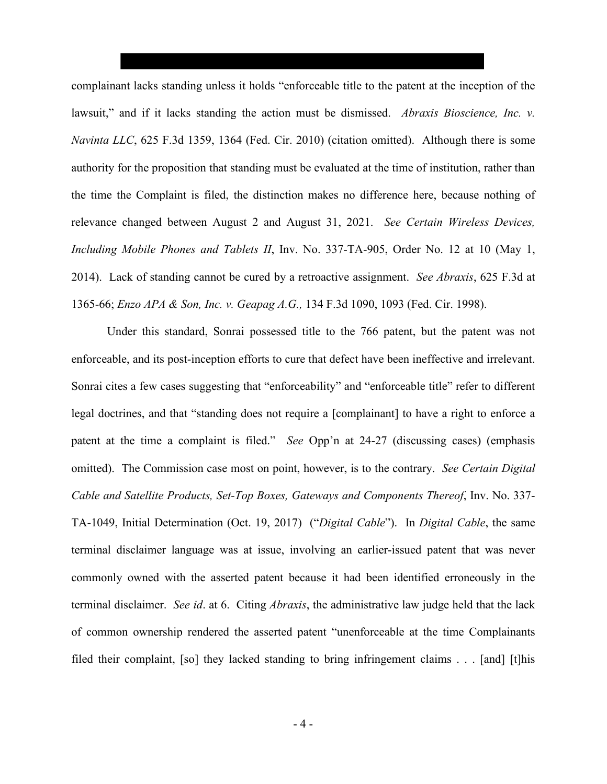complainant lacks standing unless it holds "enforceable title to the patent at the inception of the lawsuit," and if it lacks standing the action must be dismissed. *Abraxis Bioscience, Inc. v. Navinta LLC*, 625 F.3d 1359, 1364 (Fed. Cir. 2010) (citation omitted). Although there is some authority for the proposition that standing must be evaluated at the time of institution, rather than the time the Complaint is filed, the distinction makes no difference here, because nothing of relevance changed between August 2 and August 31, 2021. *See Certain Wireless Devices, Including Mobile Phones and Tablets II*, Inv. No. 337-TA-905, Order No. 12 at 10 (May 1, 2014). Lack of standing cannot be cured by a retroactive assignment. *See Abraxis*, 625 F.3d at 1365-66; *Enzo APA & Son, Inc. v. Geapag A.G.,* 134 F.3d 1090, 1093 (Fed. Cir. 1998).

Under this standard, Sonrai possessed title to the 766 patent, but the patent was not enforceable, and its post-inception efforts to cure that defect have been ineffective and irrelevant. Sonrai cites a few cases suggesting that "enforceability" and "enforceable title" refer to different legal doctrines, and that "standing does not require a [complainant] to have a right to enforce a patent at the time a complaint is filed." *See* Opp'n at 24-27 (discussing cases) (emphasis omitted). The Commission case most on point, however, is to the contrary. *See Certain Digital Cable and Satellite Products, Set-Top Boxes, Gateways and Components Thereof*, Inv. No. 337- TA-1049, Initial Determination (Oct. 19, 2017) ("*Digital Cable*"). In *Digital Cable*, the same terminal disclaimer language was at issue, involving an earlier-issued patent that was never commonly owned with the asserted patent because it had been identified erroneously in the terminal disclaimer. *See id*. at 6. Citing *Abraxis*, the administrative law judge held that the lack of common ownership rendered the asserted patent "unenforceable at the time Complainants filed their complaint, [so] they lacked standing to bring infringement claims . . . [and] [t]his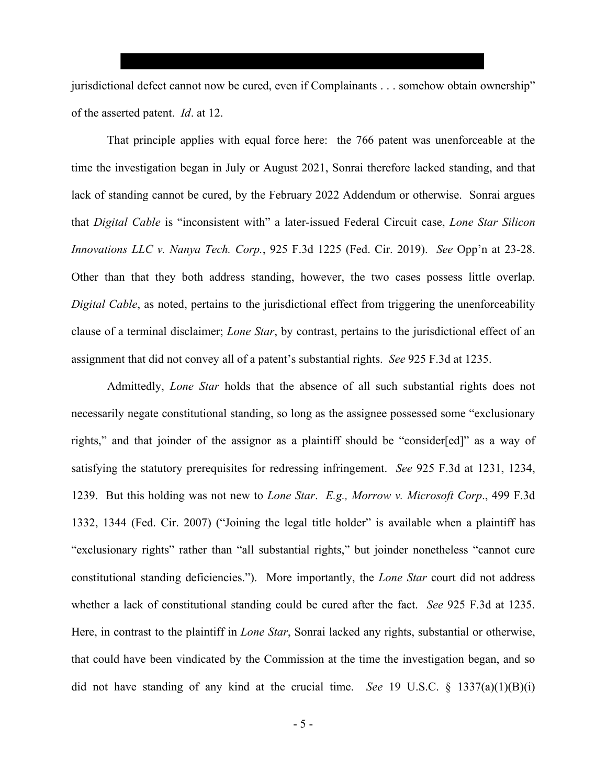jurisdictional defect cannot now be cured, even if Complainants . . . somehow obtain ownership" of the asserted patent. *Id*. at 12.

That principle applies with equal force here: the 766 patent was unenforceable at the time the investigation began in July or August 2021, Sonrai therefore lacked standing, and that lack of standing cannot be cured, by the February 2022 Addendum or otherwise. Sonrai argues that *Digital Cable* is "inconsistent with" a later-issued Federal Circuit case, *Lone Star Silicon Innovations LLC v. Nanya Tech. Corp.*, 925 F.3d 1225 (Fed. Cir. 2019). *See* Opp'n at 23-28. Other than that they both address standing, however, the two cases possess little overlap. *Digital Cable*, as noted, pertains to the jurisdictional effect from triggering the unenforceability clause of a terminal disclaimer; *Lone Star*, by contrast, pertains to the jurisdictional effect of an assignment that did not convey all of a patent's substantial rights. *See* 925 F.3d at 1235.

Admittedly, *Lone Star* holds that the absence of all such substantial rights does not necessarily negate constitutional standing, so long as the assignee possessed some "exclusionary rights," and that joinder of the assignor as a plaintiff should be "consider[ed]" as a way of satisfying the statutory prerequisites for redressing infringement. *See* 925 F.3d at 1231, 1234, 1239. But this holding was not new to *Lone Star*. *E.g., Morrow v. Microsoft Corp*., 499 F.3d 1332, 1344 (Fed. Cir. 2007) ("Joining the legal title holder" is available when a plaintiff has "exclusionary rights" rather than "all substantial rights," but joinder nonetheless "cannot cure constitutional standing deficiencies."). More importantly, the *Lone Star* court did not address whether a lack of constitutional standing could be cured after the fact. *See* 925 F.3d at 1235. Here, in contrast to the plaintiff in *Lone Star*, Sonrai lacked any rights, substantial or otherwise, that could have been vindicated by the Commission at the time the investigation began, and so did not have standing of any kind at the crucial time. *See* 19 U.S.C. § 1337(a)(1)(B)(i)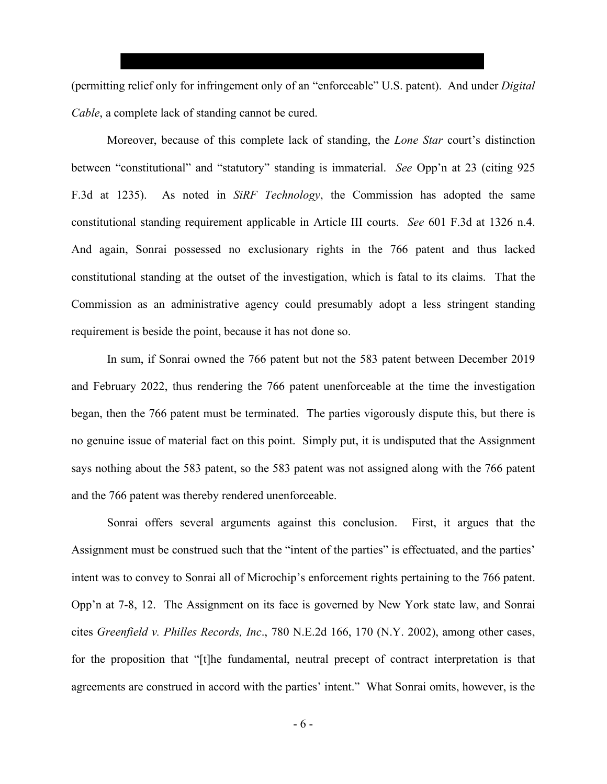(permitting relief only for infringement only of an "enforceable" U.S. patent). And under *Digital Cable*, a complete lack of standing cannot be cured.

Moreover, because of this complete lack of standing, the *Lone Star* court's distinction between "constitutional" and "statutory" standing is immaterial. *See* Opp'n at 23 (citing 925 F.3d at 1235). As noted in *SiRF Technology*, the Commission has adopted the same constitutional standing requirement applicable in Article III courts. *See* 601 F.3d at 1326 n.4. And again, Sonrai possessed no exclusionary rights in the 766 patent and thus lacked constitutional standing at the outset of the investigation, which is fatal to its claims. That the Commission as an administrative agency could presumably adopt a less stringent standing requirement is beside the point, because it has not done so.

In sum, if Sonrai owned the 766 patent but not the 583 patent between December 2019 and February 2022, thus rendering the 766 patent unenforceable at the time the investigation began, then the 766 patent must be terminated. The parties vigorously dispute this, but there is no genuine issue of material fact on this point. Simply put, it is undisputed that the Assignment says nothing about the 583 patent, so the 583 patent was not assigned along with the 766 patent and the 766 patent was thereby rendered unenforceable.

Sonrai offers several arguments against this conclusion. First, it argues that the Assignment must be construed such that the "intent of the parties" is effectuated, and the parties' intent was to convey to Sonrai all of Microchip's enforcement rights pertaining to the 766 patent. Opp'n at 7-8, 12. The Assignment on its face is governed by New York state law, and Sonrai cites *Greenfield v. Philles Records, Inc*., 780 N.E.2d 166, 170 (N.Y. 2002), among other cases, for the proposition that "[t]he fundamental, neutral precept of contract interpretation is that agreements are construed in accord with the parties' intent." What Sonrai omits, however, is the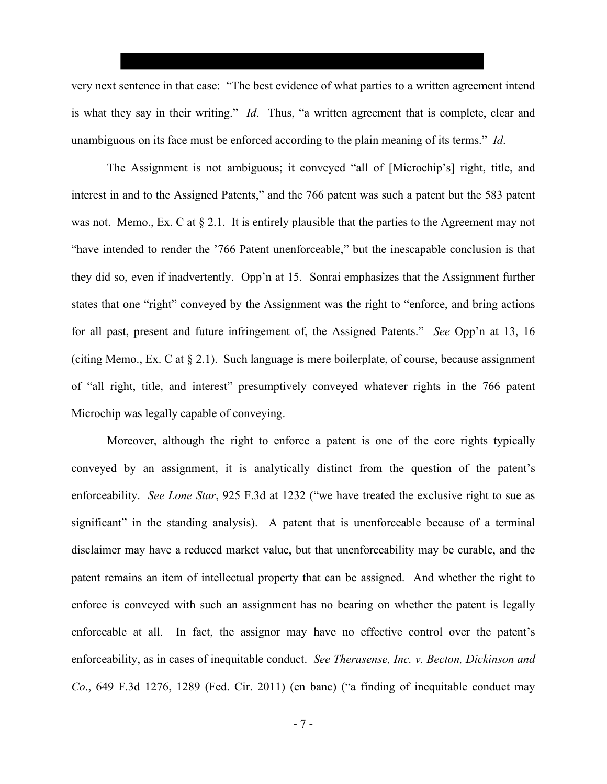very next sentence in that case: "The best evidence of what parties to a written agreement intend is what they say in their writing." *Id*. Thus, "a written agreement that is complete, clear and unambiguous on its face must be enforced according to the plain meaning of its terms." *Id*.

The Assignment is not ambiguous; it conveyed "all of [Microchip's] right, title, and interest in and to the Assigned Patents," and the 766 patent was such a patent but the 583 patent was not. Memo., Ex. C at  $\S 2.1$ . It is entirely plausible that the parties to the Agreement may not "have intended to render the '766 Patent unenforceable," but the inescapable conclusion is that they did so, even if inadvertently. Opp'n at 15. Sonrai emphasizes that the Assignment further states that one "right" conveyed by the Assignment was the right to "enforce, and bring actions for all past, present and future infringement of, the Assigned Patents." *See* Opp'n at 13, 16 (citing Memo., Ex. C at § 2.1). Such language is mere boilerplate, of course, because assignment of "all right, title, and interest" presumptively conveyed whatever rights in the 766 patent Microchip was legally capable of conveying.

Moreover, although the right to enforce a patent is one of the core rights typically conveyed by an assignment, it is analytically distinct from the question of the patent's enforceability. *See Lone Star*, 925 F.3d at 1232 ("we have treated the exclusive right to sue as significant" in the standing analysis). A patent that is unenforceable because of a terminal disclaimer may have a reduced market value, but that unenforceability may be curable, and the patent remains an item of intellectual property that can be assigned. And whether the right to enforce is conveyed with such an assignment has no bearing on whether the patent is legally enforceable at all. In fact, the assignor may have no effective control over the patent's enforceability, as in cases of inequitable conduct. *See Therasense, Inc. v. Becton, Dickinson and Co*., 649 F.3d 1276, 1289 (Fed. Cir. 2011) (en banc) ("a finding of inequitable conduct may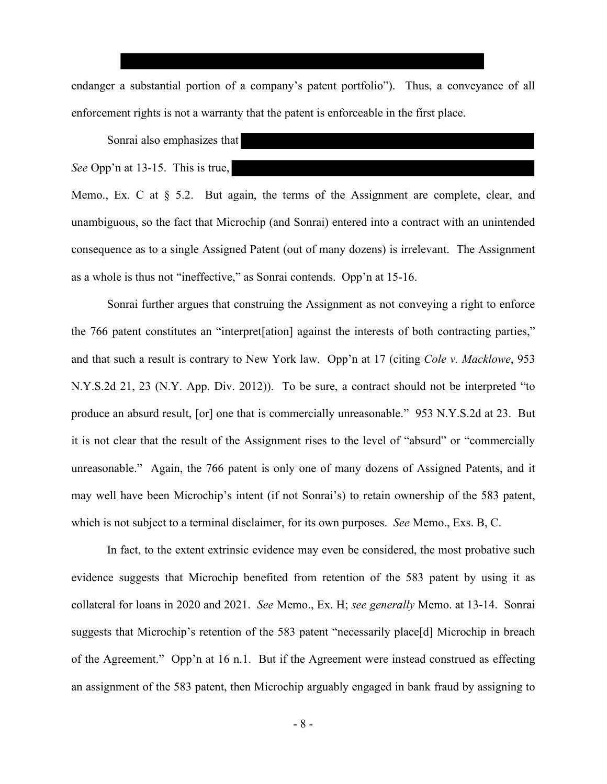endanger a substantial portion of a company's patent portfolio"). Thus, a conveyance of all enforcement rights is not a warranty that the patent is enforceable in the first place.

Sonrai also emphasizes that

*See* Opp'n at 13-15. This is true,

Memo., Ex. C at  $\S$  5.2. But again, the terms of the Assignment are complete, clear, and unambiguous, so the fact that Microchip (and Sonrai) entered into a contract with an unintended consequence as to a single Assigned Patent (out of many dozens) is irrelevant. The Assignment as a whole is thus not "ineffective," as Sonrai contends. Opp'n at 15-16.

Sonrai further argues that construing the Assignment as not conveying a right to enforce the 766 patent constitutes an "interpret[ation] against the interests of both contracting parties," and that such a result is contrary to New York law. Opp'n at 17 (citing *Cole v. Macklowe*, 953 N.Y.S.2d 21, 23 (N.Y. App. Div. 2012)). To be sure, a contract should not be interpreted "to produce an absurd result, [or] one that is commercially unreasonable." 953 N.Y.S.2d at 23. But it is not clear that the result of the Assignment rises to the level of "absurd" or "commercially unreasonable." Again, the 766 patent is only one of many dozens of Assigned Patents, and it may well have been Microchip's intent (if not Sonrai's) to retain ownership of the 583 patent, which is not subject to a terminal disclaimer, for its own purposes. *See* Memo., Exs. B, C.

In fact, to the extent extrinsic evidence may even be considered, the most probative such evidence suggests that Microchip benefited from retention of the 583 patent by using it as collateral for loans in 2020 and 2021. *See* Memo., Ex. H; *see generally* Memo. at 13-14. Sonrai suggests that Microchip's retention of the 583 patent "necessarily place[d] Microchip in breach of the Agreement." Opp'n at 16 n.1. But if the Agreement were instead construed as effecting an assignment of the 583 patent, then Microchip arguably engaged in bank fraud by assigning to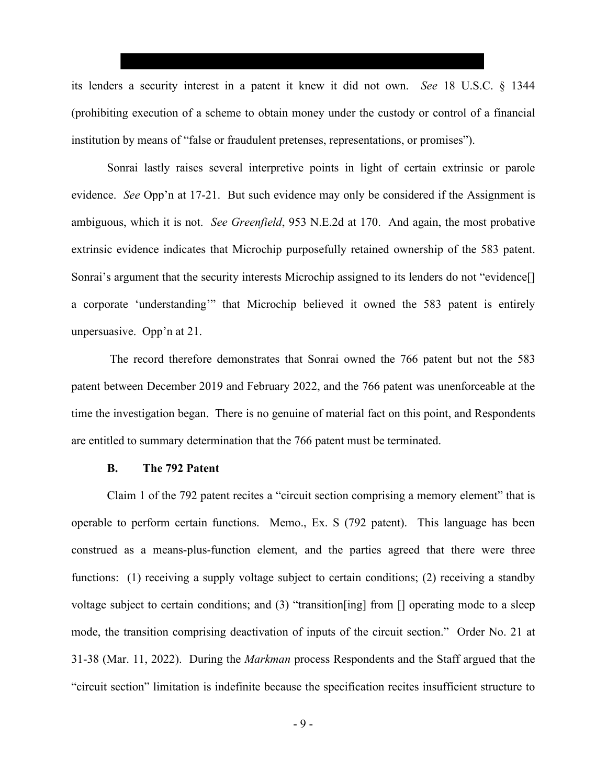its lenders a security interest in a patent it knew it did not own. *See* 18 U.S.C. § 1344 (prohibiting execution of a scheme to obtain money under the custody or control of a financial institution by means of "false or fraudulent pretenses, representations, or promises").

Sonrai lastly raises several interpretive points in light of certain extrinsic or parole evidence. *See* Opp'n at 17-21. But such evidence may only be considered if the Assignment is ambiguous, which it is not. *See Greenfield*, 953 N.E.2d at 170. And again, the most probative extrinsic evidence indicates that Microchip purposefully retained ownership of the 583 patent. Sonrai's argument that the security interests Microchip assigned to its lenders do not "evidence[] a corporate 'understanding'" that Microchip believed it owned the 583 patent is entirely unpersuasive. Opp'n at 21.

The record therefore demonstrates that Sonrai owned the 766 patent but not the 583 patent between December 2019 and February 2022, and the 766 patent was unenforceable at the time the investigation began. There is no genuine of material fact on this point, and Respondents are entitled to summary determination that the 766 patent must be terminated.

## **B. The 792 Patent**

Claim 1 of the 792 patent recites a "circuit section comprising a memory element" that is operable to perform certain functions. Memo., Ex. S (792 patent). This language has been construed as a means-plus-function element, and the parties agreed that there were three functions: (1) receiving a supply voltage subject to certain conditions; (2) receiving a standby voltage subject to certain conditions; and (3) "transition[ing] from [] operating mode to a sleep mode, the transition comprising deactivation of inputs of the circuit section." Order No. 21 at 31-38 (Mar. 11, 2022). During the *Markman* process Respondents and the Staff argued that the "circuit section" limitation is indefinite because the specification recites insufficient structure to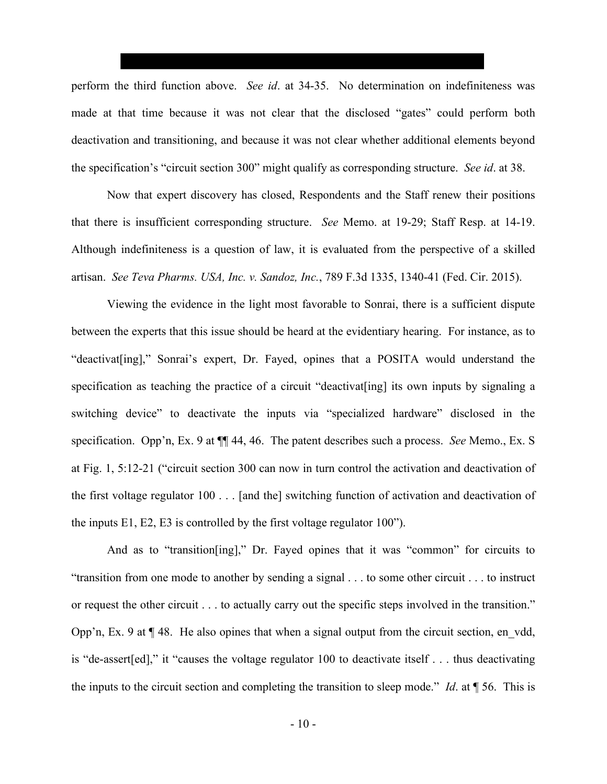perform the third function above. *See id*. at 34-35. No determination on indefiniteness was made at that time because it was not clear that the disclosed "gates" could perform both deactivation and transitioning, and because it was not clear whether additional elements beyond the specification's "circuit section 300" might qualify as corresponding structure. *See id*. at 38.

Now that expert discovery has closed, Respondents and the Staff renew their positions that there is insufficient corresponding structure. *See* Memo. at 19-29; Staff Resp. at 14-19. Although indefiniteness is a question of law, it is evaluated from the perspective of a skilled artisan. *See Teva Pharms. USA, Inc. v. Sandoz, Inc.*, 789 F.3d 1335, 1340-41 (Fed. Cir. 2015).

Viewing the evidence in the light most favorable to Sonrai, there is a sufficient dispute between the experts that this issue should be heard at the evidentiary hearing. For instance, as to "deactivat[ing]," Sonrai's expert, Dr. Fayed, opines that a POSITA would understand the specification as teaching the practice of a circuit "deactivat[ing] its own inputs by signaling a switching device" to deactivate the inputs via "specialized hardware" disclosed in the specification. Opp'n, Ex. 9 at ¶¶ 44, 46. The patent describes such a process. *See* Memo., Ex. S at Fig. 1, 5:12-21 ("circuit section 300 can now in turn control the activation and deactivation of the first voltage regulator 100 . . . [and the] switching function of activation and deactivation of the inputs E1, E2, E3 is controlled by the first voltage regulator 100").

And as to "transition[ing]," Dr. Fayed opines that it was "common" for circuits to "transition from one mode to another by sending a signal . . . to some other circuit . . . to instruct or request the other circuit . . . to actually carry out the specific steps involved in the transition." Opp'n, Ex. 9 at  $\P$  48. He also opines that when a signal output from the circuit section, en vdd, is "de-assert[ed]," it "causes the voltage regulator 100 to deactivate itself . . . thus deactivating the inputs to the circuit section and completing the transition to sleep mode." *Id*. at ¶ 56. This is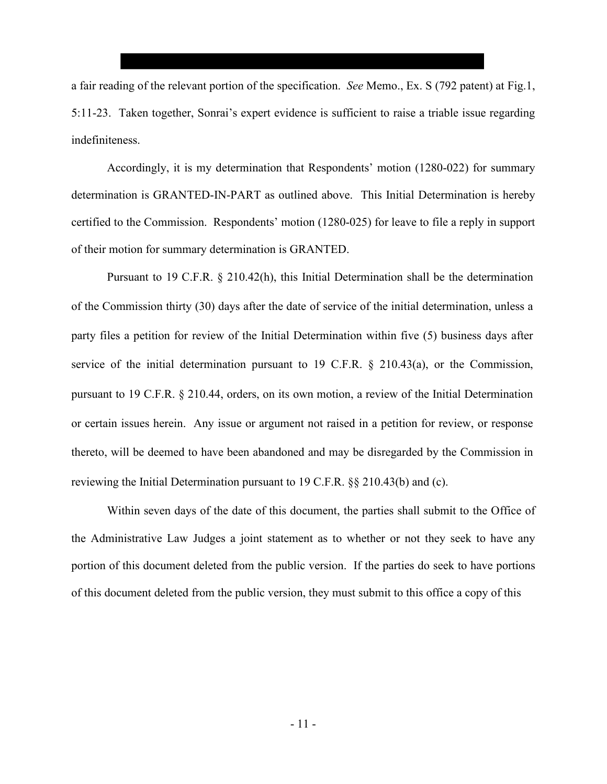a fair reading of the relevant portion of the specification. *See* Memo., Ex. S (792 patent) at Fig.1, 5:11-23. Taken together, Sonrai's expert evidence is sufficient to raise a triable issue regarding indefiniteness.

Accordingly, it is my determination that Respondents' motion (1280-022) for summary determination is GRANTED-IN-PART as outlined above. This Initial Determination is hereby certified to the Commission. Respondents' motion (1280-025) for leave to file a reply in support of their motion for summary determination is GRANTED.

Pursuant to 19 C.F.R. § 210.42(h), this Initial Determination shall be the determination of the Commission thirty (30) days after the date of service of the initial determination, unless a party files a petition for review of the Initial Determination within five (5) business days after service of the initial determination pursuant to 19 C.F.R. § 210.43(a), or the Commission, pursuant to 19 C.F.R. § 210.44, orders, on its own motion, a review of the Initial Determination or certain issues herein. Any issue or argument not raised in a petition for review, or response thereto, will be deemed to have been abandoned and may be disregarded by the Commission in reviewing the Initial Determination pursuant to 19 C.F.R. §§ 210.43(b) and (c).

Within seven days of the date of this document, the parties shall submit to the Office of the Administrative Law Judges a joint statement as to whether or not they seek to have any portion of this document deleted from the public version. If the parties do seek to have portions of this document deleted from the public version, they must submit to this office a copy of this